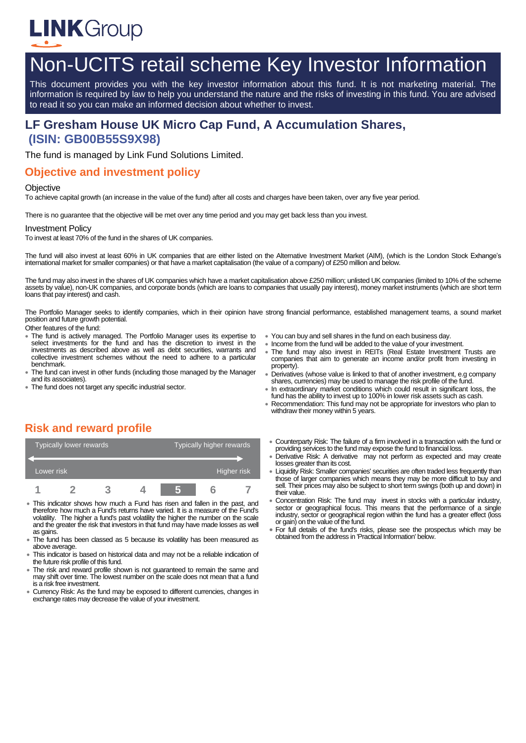

# Non-UCITS retail scheme Key Investor Information

This document provides you with the key investor information about this fund. It is not marketing material. The information is required by law to help you understand the nature and the risks of investing in this fund. You are advised to read it so you can make an informed decision about whether to invest.

# **LF Gresham House UK Micro Cap Fund, A Accumulation Shares, (ISIN: GB00B55S9X98)**

The fund is managed by Link Fund Solutions Limited.

#### **Objective and investment policy**

#### **Objective**

To achieve capital growth (an increase in the value of the fund) after all costs and charges have been taken, over any five year period.

There is no guarantee that the objective will be met over any time period and you may get back less than you invest.

#### Investment Policy

To invest at least 70% of the fund in the shares of UK companies.

The fund will also invest at least 60% in UK companies that are either listed on the Alternative Investment Market (AIM), (which is the London Stock Exhange's international market for smaller companies) or that have a market capitalisation (the value of a company) of £250 million and below.

The fund may also invest in the shares of UK companies which have a market capitalisation above £250 million; unlisted UK companies (limited to 10% of the scheme assets by value), non-UK companies, and corporate bonds (which are loans to companies that usually pay interest), money market instruments (which are short term loans that pay interest) and cash.

The Portfolio Manager seeks to identify companies, which in their opinion have strong financial performance, established management teams, a sound market position and future growth potential.

Other features of the fund:

- The fund is actively managed. The Portfolio Manager uses its expertise to select investments for the fund and has the discretion to invest in the investments as described above as well as debt securities, warrants and collective investment schemes without the need to adhere to a particular benchmark.
- The fund can invest in other funds (including those managed by the Manager and its associates).
- The fund does not target any specific industrial sector.
- You can buy and sell shares in the fund on each business day.
- Income from the fund will be added to the value of your investment.
- The fund may also invest in REITs (Real Estate Investment Trusts are companies that aim to generate an income and/or profit from investing in property).
- Derivatives (whose value is linked to that of another investment, e.g company shares, currencies) may be used to manage the risk profile of the fund.
- In extraordinary market conditions which could result in significant loss, the fund has the ability to invest up to 100% in lower risk assets such as cash.
- Recommendation: This fund may not be appropriate for investors who plan to withdraw their money within 5 years.

#### **Risk and reward profile**

| Typically lower rewards |  |  |  | Typically higher rewards |  |  |  |
|-------------------------|--|--|--|--------------------------|--|--|--|
|                         |  |  |  |                          |  |  |  |
| Lower risk              |  |  |  | Higher risk              |  |  |  |
|                         |  |  |  |                          |  |  |  |

- This indicator shows how much a Fund has risen and fallen in the past, and therefore how much a Fund's returns have varied. It is a measure of the Fund's volatility. The higher a fund's past volatility the higher the number on the scale and the greater the risk that investors in that fund may have made losses as well as gains.
- The fund has been classed as 5 because its volatility has been measured as above average.
- This indicator is based on historical data and may not be a reliable indication of the future risk profile of this fund.
- The risk and reward profile shown is not guaranteed to remain the same and may shift over time. The lowest number on the scale does not mean that a fund is a risk free investment.
- Currency Risk: As the fund may be exposed to different currencies, changes in exchange rates may decrease the value of your investment.
- Counterparty Risk: The failure of a firm involved in a transaction with the fund or providing services to the fund may expose the fund to financial loss.
- Derivative Risk: A derivative may not perform as expected and may create losses greater than its cost.
- Liquidity Risk: Smaller companies' securities are often traded less frequently than those of larger companies which means they may be more difficult to buy and sell. Their prices may also be subject to short term swings (both up and down) in their value.
- Concentration Risk: The fund may invest in stocks with a particular industry, sector or geographical focus. This means that the performance of a single industry, sector or geographical region within the fund has a greater effect (loss or gain) on the value of the fund.
- For full details of the fund's risks, please see the prospectus which may be obtained from the address in 'Practical Information' below.